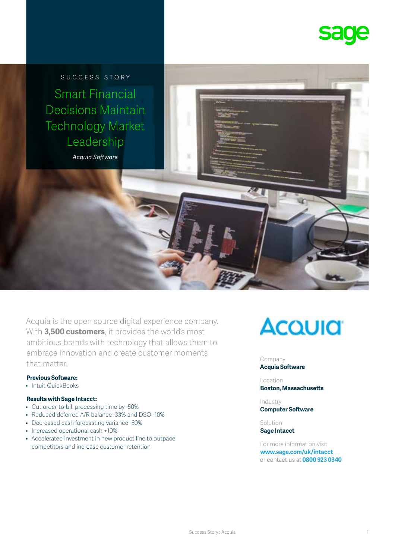

SUCCESS STORY Smart Financial Decisions Maintain Technology Market Leadership

*Acquia Software*

Acquia is the open source digital experience company. With **3,500 customers**, it provides the world's most ambitious brands with technology that allows them to embrace innovation and create customer moments that matter

### **Previous Software:**

• Intuit QuickBooks

#### **Results with Sage Intacct:**

- Cut order-to-bill processing time by -50%
- Reduced deferred A/R balance -33% and DSO -10%
- Decreased cash forecasting variance -80%
- Increased operational cash +10%
- Accelerated investment in new product line to outpace competitors and increase customer retention



#### Company **Acquia Software**

Location **Boston, Massachusetts**

Industry **Computer Software**

Solution **Sage Intacct**

For more information visit **[www.sage.com/uk/intacct](http://www.sage.com/uk/intacct)** or contact us at **0800 923 0340**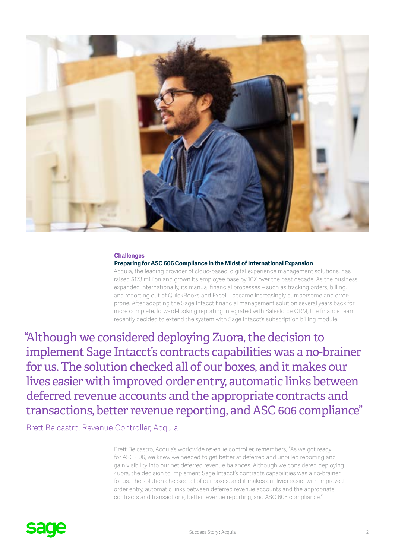

#### **Challenges**

#### **Preparing for ASC 606 Compliance in the Midst of International Expansion**

Acquia, the leading provider of cloud-based, digital experience management solutions, has raised \$173 million and grown its employee base by 10X over the past decade. As the business expanded internationally, its manual financial processes – such as tracking orders, billing, and reporting out of QuickBooks and Excel – became increasingly cumbersome and errorprone. After adopting the Sage Intacct financial management solution several years back for more complete, forward-looking reporting integrated with Salesforce CRM, the finance team recently decided to extend the system with Sage Intacct's subscription billing module.

"Although we considered deploying Zuora, the decision to implement Sage Intacct's contracts capabilities was a no-brainer for us. The solution checked all of our boxes, and it makes our lives easier with improved order entry, automatic links between deferred revenue accounts and the appropriate contracts and transactions, better revenue reporting, and ASC 606 compliance"

Brett Belcastro, Revenue Controller, Acquia

Brett Belcastro, Acquia's worldwide revenue controller, remembers, "As we got ready for ASC 606, we knew we needed to get better at deferred and unbilled reporting and gain visibility into our net deferred revenue balances. Although we considered deploying Zuora, the decision to implement Sage Intacct's contracts capabilities was a no-brainer for us. The solution checked all of our boxes, and it makes our lives easier with improved order entry, automatic links between deferred revenue accounts and the appropriate contracts and transactions, better revenue reporting, and ASC 606 compliance."

# **sage**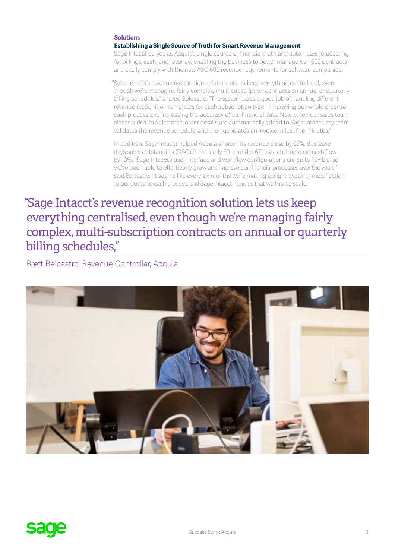## **Solutions**

**Establishing a Single Source of Truth for Smart Revenue Management**

Sage Intacct serves as Acquia's single source of financial truth and automates forecasting for billings, cash, and revenue, enabling the business to better manage its 1,600 contracts and easily comply with the new ASC 606 revenue requirements for software companies.

"Sage Intacct's revenue recognition solution lets us keep everything centralised, even though we're managing fairly complex, multi-subscription contracts on annual or quarterly billing schedules," shared Belcastro. "The system does a good job of handling different revenue recognition templates for each subscription type – improving our whole order-tocash process and increasing the accuracy of our financial data. Now, when our sales team closes a deal in Salesforce, order details are automatically added to Sage Intacct, my team validates the revenue schedule, and then generates an invoice in just five minutes."

In addition, Sage Intacct helped Acquia shorten its revenue close by 66%, decrease days sales outstanding (DSO) from nearly 80 to under 67 days, and increase cash flow by 10%. "Sage Intacct's user interface and workflow configurations are quite flexible, so we've been able to effortlessly grow and improve our financial processes over the years," said Belcastro. "It seems like every six months we're making a slight tweak or modification to our quote-to-cash process, and Sage Intacct handles that well as we scale."

"Sage Intacct's revenue recognition solution lets us keep everything centralised, even though we're managing fairly complex, multi-subscription contracts on annual or quarterly billing schedules,"

Brett Belcastro, Revenue Controller, Acquia